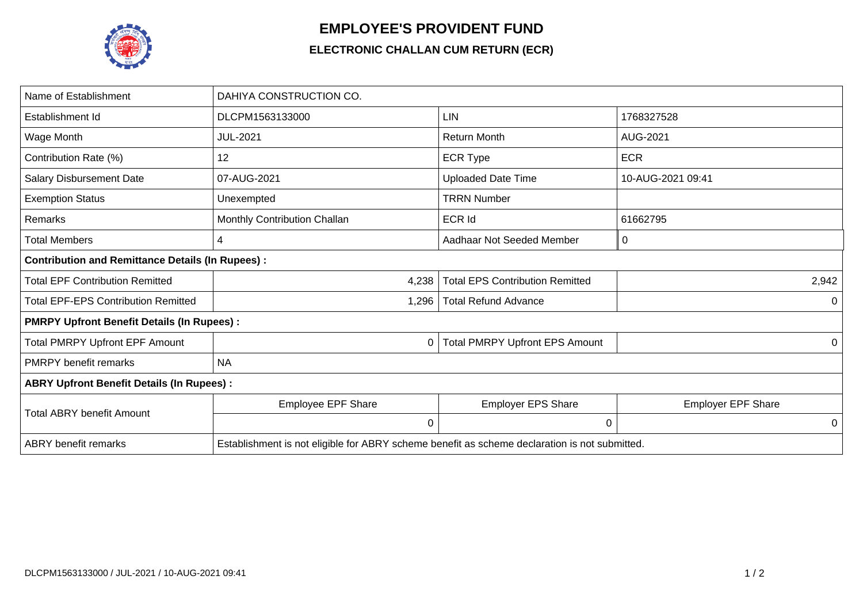

## **EMPLOYEE'S PROVIDENT FUND**

## **ELECTRONIC CHALLAN CUM RETURN (ECR)**

| Name of Establishment                                   | DAHIYA CONSTRUCTION CO.                                                                       |                                        |                           |  |  |  |  |
|---------------------------------------------------------|-----------------------------------------------------------------------------------------------|----------------------------------------|---------------------------|--|--|--|--|
| Establishment Id                                        | DLCPM1563133000                                                                               | LIN                                    | 1768327528                |  |  |  |  |
| Wage Month                                              | <b>JUL-2021</b>                                                                               | <b>Return Month</b>                    | AUG-2021                  |  |  |  |  |
| Contribution Rate (%)                                   | 12                                                                                            | <b>ECR Type</b>                        | <b>ECR</b>                |  |  |  |  |
| <b>Salary Disbursement Date</b>                         | 07-AUG-2021                                                                                   | <b>Uploaded Date Time</b>              | 10-AUG-2021 09:41         |  |  |  |  |
| <b>Exemption Status</b>                                 | Unexempted                                                                                    | <b>TRRN Number</b>                     |                           |  |  |  |  |
| Remarks                                                 | Monthly Contribution Challan                                                                  | <b>ECR Id</b>                          | 61662795                  |  |  |  |  |
| Total Members                                           | 4                                                                                             | Aadhaar Not Seeded Member              | 0                         |  |  |  |  |
| <b>Contribution and Remittance Details (In Rupees):</b> |                                                                                               |                                        |                           |  |  |  |  |
| <b>Total EPF Contribution Remitted</b>                  | 4,238                                                                                         | <b>Total EPS Contribution Remitted</b> | 2,942                     |  |  |  |  |
| <b>Total EPF-EPS Contribution Remitted</b>              | 1,296                                                                                         | <b>Total Refund Advance</b>            | $\Omega$                  |  |  |  |  |
| <b>PMRPY Upfront Benefit Details (In Rupees):</b>       |                                                                                               |                                        |                           |  |  |  |  |
| <b>Total PMRPY Upfront EPF Amount</b>                   | 0                                                                                             | <b>Total PMRPY Upfront EPS Amount</b>  | $\Omega$                  |  |  |  |  |
| <b>PMRPY</b> benefit remarks                            | <b>NA</b>                                                                                     |                                        |                           |  |  |  |  |
| <b>ABRY Upfront Benefit Details (In Rupees):</b>        |                                                                                               |                                        |                           |  |  |  |  |
| <b>Total ABRY benefit Amount</b>                        | Employee EPF Share                                                                            | <b>Employer EPS Share</b>              | <b>Employer EPF Share</b> |  |  |  |  |
|                                                         | $\Omega$                                                                                      | $\Omega$                               | 0                         |  |  |  |  |
| <b>ABRY</b> benefit remarks                             | Establishment is not eligible for ABRY scheme benefit as scheme declaration is not submitted. |                                        |                           |  |  |  |  |